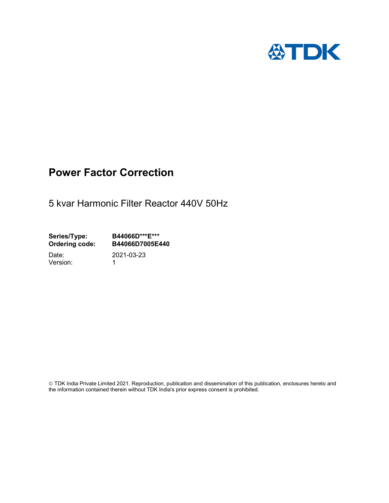

# Power Factor Correction

5 kvar Harmonic Filter Reactor 440V 50Hz

Series/Type: B44066D\*\*\*E\*\*\*<br>Ordering code: B44066D7005E4 B44066D7005E440

Version: 1

Date: 2021-03-23

 TDK India Private Limited 2021. Reproduction, publication and dissemination of this publication, enclosures hereto and the information contained therein without TDK India's prior express consent is prohibited.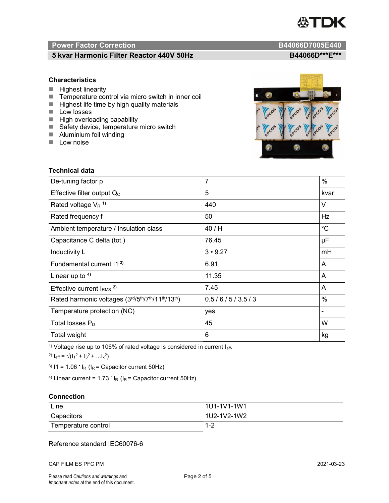

# Power Factor Correction and Content of the Content of the B44066D7005E440

# 5 kvar Harmonic Filter Reactor 440V 50Hz B44066D\*\*\*E\*\*\*

## **Characteristics**

- $H$  Highest linearity
- Temperature control via micro switch in inner coil
- $\blacksquare$  Highest life time by high quality materials
- **Low losses**
- $\blacksquare$  High overloading capability
- Safety device, temperature micro switch
- **Aluminium foil winding**
- **Low noise**



| Technical data                                  |                |             |
|-------------------------------------------------|----------------|-------------|
| De-tuning factor p                              | $\overline{7}$ | %           |
| Effective filter output $Q_C$                   | 5              | kvar        |
| Rated voltage $V_R$ <sup>1)</sup>               | 440            | V           |
| Rated frequency f                               | 50             | Hz          |
| Ambient temperature / Insulation class          | 40 / H         | $^{\circ}C$ |
| Capacitance C delta (tot.)                      | 76.45          | μF          |
| Inductivity L                                   | $3 \cdot 9.27$ | mH          |
| Fundamental current 11 <sup>3)</sup>            | 6.91           | A           |
| Linear up to $4$ )                              | 11.35          | A           |
| Effective current $IRMS$ <sup>2)</sup>          | 7.45           | A           |
| Rated harmonic voltages (3rd/5th/7th/11th/13th) | 0.5/6/5/3.5/3  | %           |
| Temperature protection (NC)                     | yes            |             |
| Total losses $P_D$                              | 45             | W           |
| Total weight                                    | 6              | kg          |

<sup>1)</sup> Voltage rise up to 106% of rated voltage is considered in current  $I_{\text{eff}}$ .

<sup>2)</sup>  $I_{eff} = \sqrt{(I_1^2 + I_3^2 + ... I_x^2)}$ 

<sup>3)</sup>  $11 = 1.06$   $\cdot$   $I_R$  ( $I_R$  = Capacitor current 50Hz)

<sup>4)</sup> Linear current =  $1.73$   $\cdot$  I<sub>R</sub> (I<sub>R</sub> = Capacitor current 50Hz)

### **Connection**

| Line                | l 1U1-1V1-1W1       |
|---------------------|---------------------|
| Capacitors          | l 1U2-1V2-1W2       |
| Temperature control | <u> 4 ຕ</u><br>ے- ا |

## Reference standard IEC60076-6

CAP FILM ES PFC PM 2021-03-23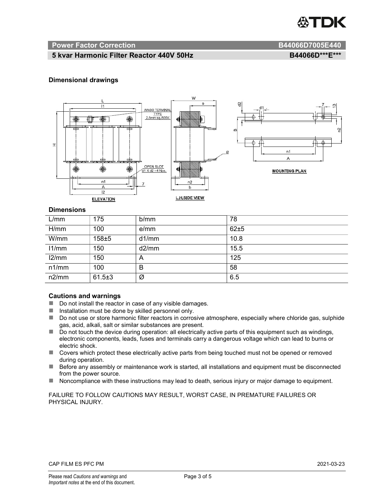

#### Power Factor Correction and B44066D7005E440

# 5 kvar Harmonic Filter Reactor 440V 50Hz BA4066D\*\*\*E\*\*\*

### Dimensional drawings



#### **Dimensions**

| L/mm  | 175          | b/mm  | 78   |
|-------|--------------|-------|------|
| H/mm  | 100          | e/mm  | 62±5 |
| W/mm  | $158 + 5$    | d1/mm | 10.8 |
| 11/mm | 150          | d2/mm | 15.5 |
| 12/mm | 150          | A     | 125  |
| n1/mm | 100          | B     | 58   |
| n2/mm | $61.5 \pm 3$ | Ø     | 6.5  |

#### Cautions and warnings

- Do not install the reactor in case of any visible damages.
- $\blacksquare$  Installation must be done by skilled personnel only.
- Do not use or store harmonic filter reactors in corrosive atmosphere, especially where chloride gas, sulphide gas, acid, alkali, salt or similar substances are present.
- Do not touch the device during operation: all electrically active parts of this equipment such as windings, electronic components, leads, fuses and terminals carry a dangerous voltage which can lead to burns or electric shock.
- Covers which protect these electrically active parts from being touched must not be opened or removed during operation.
- Before any assembly or maintenance work is started, all installations and equipment must be disconnected from the power source.
- Noncompliance with these instructions may lead to death, serious injury or major damage to equipment.

FAILURE TO FOLLOW CAUTIONS MAY RESULT, WORST CASE, IN PREMATURE FAILURES OR PHYSICAL INJURY.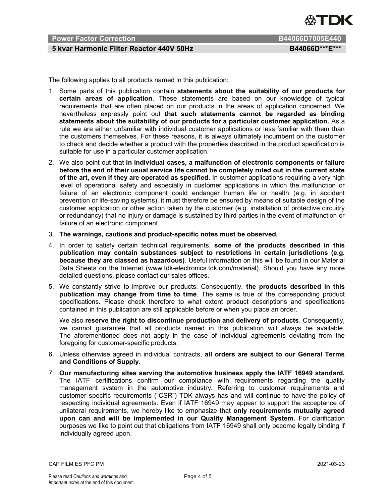

# Power Factor Correction B44066D7005E440

# 5 kvar Harmonic Filter Reactor 440V 50Hz BA4066D\*\*\*E\*\*\*

The following applies to all products named in this publication:

- 1. Some parts of this publication contain statements about the suitability of our products for certain areas of application. These statements are based on our knowledge of typical requirements that are often placed on our products in the areas of application concerned. We nevertheless expressly point out that such statements cannot be regarded as binding statements about the suitability of our products for a particular customer application. As a rule we are either unfamiliar with individual customer applications or less familiar with them than the customers themselves. For these reasons, it is always ultimately incumbent on the customer to check and decide whether a product with the properties described in the product specification is suitable for use in a particular customer application.
- 2. We also point out that in individual cases, a malfunction of electronic components or failure before the end of their usual service life cannot be completely ruled out in the current state of the art, even if they are operated as specified. In customer applications requiring a very high level of operational safety and especially in customer applications in which the malfunction or failure of an electronic component could endanger human life or health (e.g. in accident prevention or life-saving systems), it must therefore be ensured by means of suitable design of the customer application or other action taken by the customer (e.g. installation of protective circuitry or redundancy) that no injury or damage is sustained by third parties in the event of malfunction or failure of an electronic component.
- 3. The warnings, cautions and product-specific notes must be observed.
- 4. In order to satisfy certain technical requirements, some of the products described in this publication may contain substances subject to restrictions in certain jurisdictions (e.g. because they are classed as hazardous). Useful information on this will be found in our Material Data Sheets on the Internet (www.tdk-electronics.tdk.com/material). Should you have any more detailed questions, please contact our sales offices.
- 5. We constantly strive to improve our products. Consequently, the products described in this publication may change from time to time. The same is true of the corresponding product specifications. Please check therefore to what extent product descriptions and specifications contained in this publication are still applicable before or when you place an order.

We also reserve the right to discontinue production and delivery of products. Consequently, we cannot guarantee that all products named in this publication will always be available. The aforementioned does not apply in the case of individual agreements deviating from the foregoing for customer-specific products.

- 6. Unless otherwise agreed in individual contracts, all orders are subject to our General Terms and Conditions of Supply.
- 7. Our manufacturing sites serving the automotive business apply the IATF 16949 standard. The IATF certifications confirm our compliance with requirements regarding the quality management system in the automotive industry. Referring to customer requirements and customer specific requirements ("CSR") TDK always has and will continue to have the policy of respecting individual agreements. Even if IATF 16949 may appear to support the acceptance of unilateral requirements, we hereby like to emphasize that only requirements mutually agreed upon can and will be implemented in our Quality Management System. For clarification purposes we like to point out that obligations from IATF 16949 shall only become legally binding if individually agreed upon.